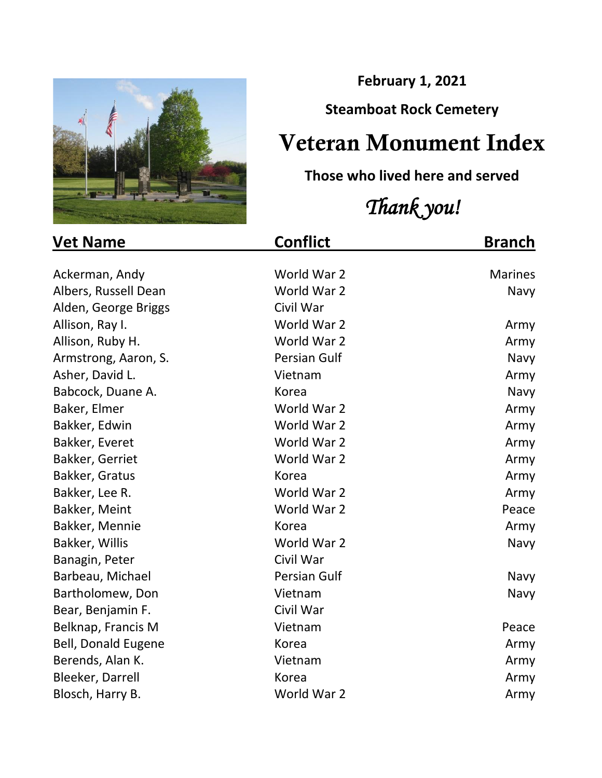

**February 1, 2021**

## **Steamboat Rock Cemetery**

## Veteran Monument Index

## **Those who lived here and served**

## *Thank you!*

| <b>Vet Name</b>            | <b>Conflict</b> | <b>Branch</b>  |
|----------------------------|-----------------|----------------|
|                            |                 |                |
| Ackerman, Andy             | World War 2     | <b>Marines</b> |
| Albers, Russell Dean       | World War 2     | Navy           |
| Alden, George Briggs       | Civil War       |                |
| Allison, Ray I.            | World War 2     | Army           |
| Allison, Ruby H.           | World War 2     | Army           |
| Armstrong, Aaron, S.       | Persian Gulf    | Navy           |
| Asher, David L.            | Vietnam         | Army           |
| Babcock, Duane A.          | Korea           | Navy           |
| Baker, Elmer               | World War 2     | Army           |
| Bakker, Edwin              | World War 2     | Army           |
| Bakker, Everet             | World War 2     | Army           |
| Bakker, Gerriet            | World War 2     | Army           |
| Bakker, Gratus             | Korea           | Army           |
| Bakker, Lee R.             | World War 2     | Army           |
| Bakker, Meint              | World War 2     | Peace          |
| Bakker, Mennie             | Korea           | Army           |
| Bakker, Willis             | World War 2     | Navy           |
| Banagin, Peter             | Civil War       |                |
| Barbeau, Michael           | Persian Gulf    | Navy           |
| Bartholomew, Don           | Vietnam         | Navy           |
| Bear, Benjamin F.          | Civil War       |                |
| Belknap, Francis M         | Vietnam         | Peace          |
| <b>Bell, Donald Eugene</b> | Korea           | Army           |
| Berends, Alan K.           | Vietnam         | Army           |
| Bleeker, Darrell           | Korea           | Army           |
| Blosch, Harry B.           | World War 2     | Army           |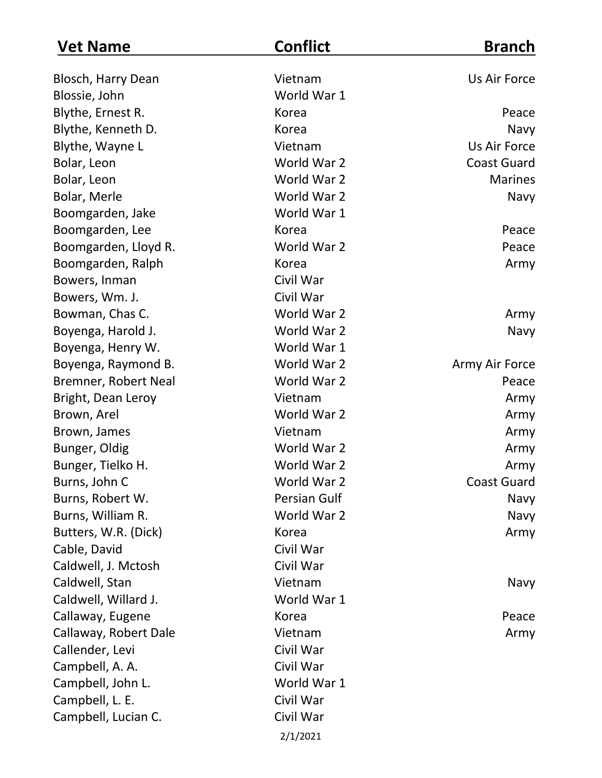| <b>Vet Name</b>       | <b>Conflict</b>     | <b>Branch</b>      |
|-----------------------|---------------------|--------------------|
| Blosch, Harry Dean    | Vietnam             | Us Air Force       |
| Blossie, John         | World War 1         |                    |
| Blythe, Ernest R.     | Korea               | Peace              |
| Blythe, Kenneth D.    | Korea               | Navy               |
| Blythe, Wayne L       | Vietnam             | Us Air Force       |
| Bolar, Leon           | World War 2         | <b>Coast Guard</b> |
| Bolar, Leon           | World War 2         | <b>Marines</b>     |
| Bolar, Merle          | World War 2         | Navy               |
| Boomgarden, Jake      | World War 1         |                    |
| Boomgarden, Lee       | Korea               | Peace              |
| Boomgarden, Lloyd R.  | World War 2         | Peace              |
| Boomgarden, Ralph     | Korea               | Army               |
| Bowers, Inman         | Civil War           |                    |
| Bowers, Wm. J.        | Civil War           |                    |
| Bowman, Chas C.       | World War 2         | Army               |
| Boyenga, Harold J.    | World War 2         | Navy               |
| Boyenga, Henry W.     | World War 1         |                    |
| Boyenga, Raymond B.   | World War 2         | Army Air Force     |
| Bremner, Robert Neal  | World War 2         | Peace              |
| Bright, Dean Leroy    | Vietnam             | Army               |
| Brown, Arel           | World War 2         | Army               |
| Brown, James          | Vietnam             | Army               |
| Bunger, Oldig         | World War 2         | Army               |
| Bunger, Tielko H.     | World War 2         | Army               |
| Burns, John C         | World War 2         | <b>Coast Guard</b> |
| Burns, Robert W.      | <b>Persian Gulf</b> | Navy               |
| Burns, William R.     | World War 2         | Navy               |
| Butters, W.R. (Dick)  | Korea               | Army               |
| Cable, David          | Civil War           |                    |
| Caldwell, J. Mctosh   | Civil War           |                    |
| Caldwell, Stan        | Vietnam             | Navy               |
| Caldwell, Willard J.  | World War 1         |                    |
| Callaway, Eugene      | Korea               | Peace              |
| Callaway, Robert Dale | Vietnam             | Army               |
| Callender, Levi       | Civil War           |                    |
| Campbell, A. A.       | Civil War           |                    |
| Campbell, John L.     | World War 1         |                    |
| Campbell, L. E.       | Civil War           |                    |
| Campbell, Lucian C.   | Civil War           |                    |
|                       | 2/1/2021            |                    |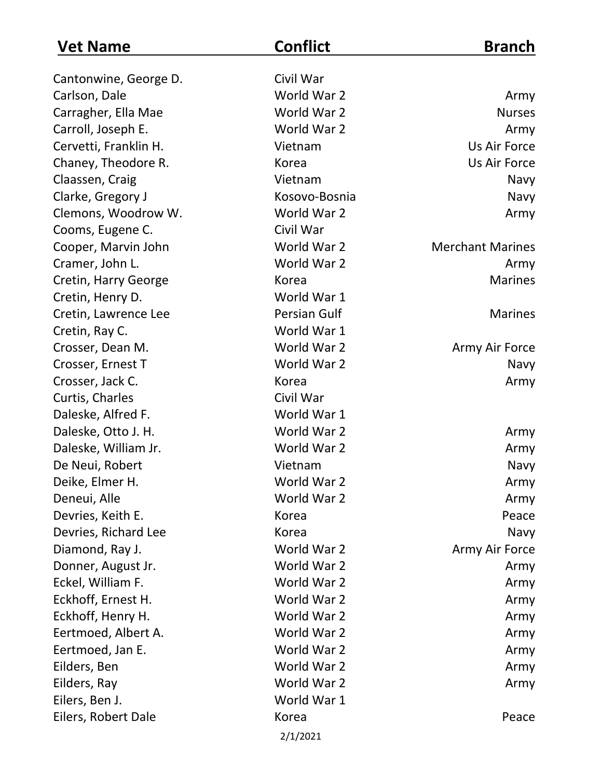| <b>Vet Name</b>       | <b>Conflict</b>     | <b>Branch</b>           |
|-----------------------|---------------------|-------------------------|
| Cantonwine, George D. | Civil War           |                         |
| Carlson, Dale         | World War 2         | Army                    |
| Carragher, Ella Mae   | World War 2         | <b>Nurses</b>           |
| Carroll, Joseph E.    | World War 2         | Army                    |
| Cervetti, Franklin H. | Vietnam             | Us Air Force            |
| Chaney, Theodore R.   | Korea               | Us Air Force            |
| Claassen, Craig       | Vietnam             | Navy                    |
| Clarke, Gregory J     | Kosovo-Bosnia       | Navy                    |
| Clemons, Woodrow W.   | World War 2         | Army                    |
| Cooms, Eugene C.      | Civil War           |                         |
| Cooper, Marvin John   | World War 2         | <b>Merchant Marines</b> |
| Cramer, John L.       | World War 2         | Army                    |
| Cretin, Harry George  | Korea               | <b>Marines</b>          |
| Cretin, Henry D.      | World War 1         |                         |
| Cretin, Lawrence Lee  | <b>Persian Gulf</b> | <b>Marines</b>          |
| Cretin, Ray C.        | World War 1         |                         |
| Crosser, Dean M.      | World War 2         | Army Air Force          |
| Crosser, Ernest T     | World War 2         | Navy                    |
| Crosser, Jack C.      | Korea               | Army                    |
| Curtis, Charles       | Civil War           |                         |
| Daleske, Alfred F.    | World War 1         |                         |
| Daleske, Otto J. H.   | World War 2         | Army                    |
| Daleske, William Jr.  | World War 2         | Army                    |
| De Neui, Robert       | Vietnam             | Navy                    |
| Deike, Elmer H.       | World War 2         | Army                    |
| Deneui, Alle          | World War 2         | Army                    |
| Devries, Keith E.     | Korea               | Peace                   |
| Devries, Richard Lee  | Korea               | Navy                    |
| Diamond, Ray J.       | World War 2         | Army Air Force          |
| Donner, August Jr.    | World War 2         | Army                    |
| Eckel, William F.     | World War 2         | Army                    |
| Eckhoff, Ernest H.    | World War 2         | Army                    |
| Eckhoff, Henry H.     | World War 2         | Army                    |
| Eertmoed, Albert A.   | World War 2         | Army                    |
| Eertmoed, Jan E.      | World War 2         | Army                    |
| Eilders, Ben          | World War 2         | Army                    |
| Eilders, Ray          | World War 2         | Army                    |
| Eilers, Ben J.        | World War 1         |                         |
| Eilers, Robert Dale   | Korea               | Peace                   |
|                       | 2/1/2021            |                         |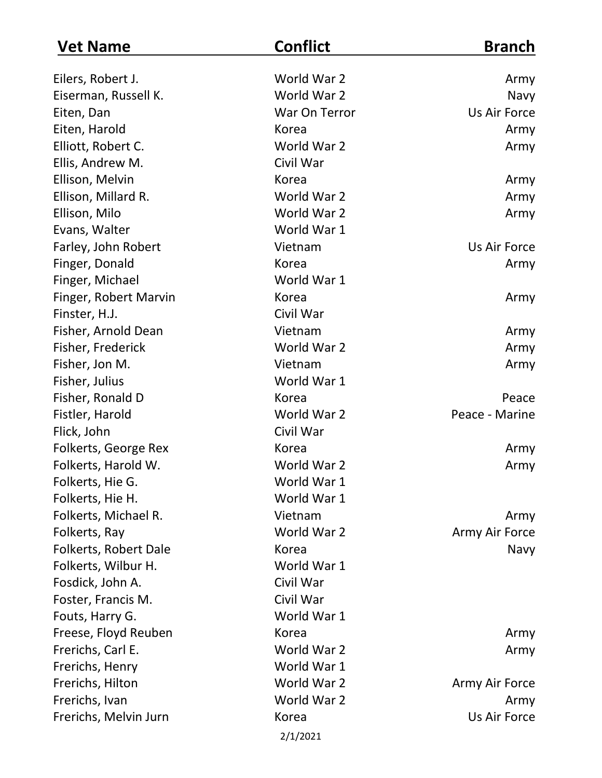| <b>Vet Name</b>       | <b>Conflict</b> | <b>Branch</b>  |
|-----------------------|-----------------|----------------|
| Eilers, Robert J.     | World War 2     | Army           |
| Eiserman, Russell K.  | World War 2     | Navy           |
| Eiten, Dan            | War On Terror   | Us Air Force   |
| Eiten, Harold         | Korea           | Army           |
| Elliott, Robert C.    | World War 2     | Army           |
| Ellis, Andrew M.      | Civil War       |                |
| Ellison, Melvin       | Korea           | Army           |
| Ellison, Millard R.   | World War 2     | Army           |
| Ellison, Milo         | World War 2     | Army           |
| Evans, Walter         | World War 1     |                |
| Farley, John Robert   | Vietnam         | Us Air Force   |
| Finger, Donald        | Korea           | Army           |
| Finger, Michael       | World War 1     |                |
| Finger, Robert Marvin | Korea           | Army           |
| Finster, H.J.         | Civil War       |                |
| Fisher, Arnold Dean   | Vietnam         | Army           |
| Fisher, Frederick     | World War 2     | Army           |
| Fisher, Jon M.        | Vietnam         | Army           |
| Fisher, Julius        | World War 1     |                |
| Fisher, Ronald D      | Korea           | Peace          |
| Fistler, Harold       | World War 2     | Peace - Marine |
| Flick, John           | Civil War       |                |
| Folkerts, George Rex  | Korea           | Army           |
| Folkerts, Harold W.   | World War 2     | Army           |
| Folkerts, Hie G.      | World War 1     |                |
| Folkerts, Hie H.      | World War 1     |                |
| Folkerts, Michael R.  | Vietnam         | Army           |
| Folkerts, Ray         | World War 2     | Army Air Force |
| Folkerts, Robert Dale | Korea           | Navy           |
| Folkerts, Wilbur H.   | World War 1     |                |
| Fosdick, John A.      | Civil War       |                |
| Foster, Francis M.    | Civil War       |                |
| Fouts, Harry G.       | World War 1     |                |
| Freese, Floyd Reuben  | Korea           | Army           |
| Frerichs, Carl E.     | World War 2     | Army           |
| Frerichs, Henry       | World War 1     |                |
| Frerichs, Hilton      | World War 2     | Army Air Force |
| Frerichs, Ivan        | World War 2     | Army           |
| Frerichs, Melvin Jurn | Korea           | Us Air Force   |
|                       | 2/1/2021        |                |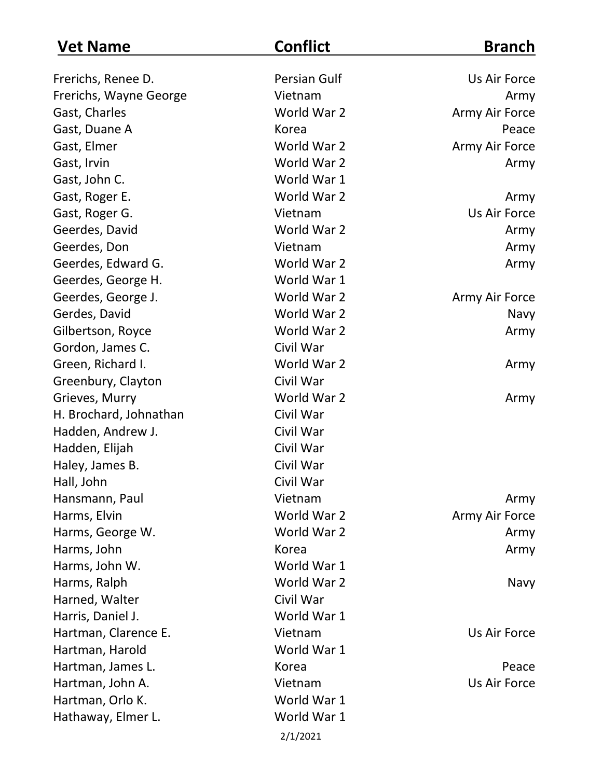| <b>Vet Name</b>        | <b>Conflict</b> | <b>Branch</b>  |
|------------------------|-----------------|----------------|
| Frerichs, Renee D.     | Persian Gulf    | Us Air Force   |
| Frerichs, Wayne George | Vietnam         | Army           |
| Gast, Charles          | World War 2     | Army Air Force |
| Gast, Duane A          | Korea           | Peace          |
| Gast, Elmer            | World War 2     | Army Air Force |
| Gast, Irvin            | World War 2     | Army           |
| Gast, John C.          | World War 1     |                |
| Gast, Roger E.         | World War 2     | Army           |
| Gast, Roger G.         | Vietnam         | Us Air Force   |
| Geerdes, David         | World War 2     | Army           |
| Geerdes, Don           | Vietnam         | Army           |
| Geerdes, Edward G.     | World War 2     | Army           |
| Geerdes, George H.     | World War 1     |                |
| Geerdes, George J.     | World War 2     | Army Air Force |
| Gerdes, David          | World War 2     | Navy           |
| Gilbertson, Royce      | World War 2     | Army           |
| Gordon, James C.       | Civil War       |                |
| Green, Richard I.      | World War 2     | Army           |
| Greenbury, Clayton     | Civil War       |                |
| Grieves, Murry         | World War 2     | Army           |
| H. Brochard, Johnathan | Civil War       |                |
| Hadden, Andrew J.      | Civil War       |                |
| Hadden, Elijah         | Civil War       |                |
| Haley, James B.        | Civil War       |                |
| Hall, John             | Civil War       |                |
| Hansmann, Paul         | Vietnam         | Army           |
| Harms, Elvin           | World War 2     | Army Air Force |
| Harms, George W.       | World War 2     | Army           |
| Harms, John            | Korea           | Army           |
| Harms, John W.         | World War 1     |                |
| Harms, Ralph           | World War 2     | Navy           |
| Harned, Walter         | Civil War       |                |
| Harris, Daniel J.      | World War 1     |                |
| Hartman, Clarence E.   | Vietnam         | Us Air Force   |
| Hartman, Harold        | World War 1     |                |
| Hartman, James L.      | Korea           | Peace          |
| Hartman, John A.       | Vietnam         | Us Air Force   |
| Hartman, Orlo K.       | World War 1     |                |
| Hathaway, Elmer L.     | World War 1     |                |
|                        | 2/1/2021        |                |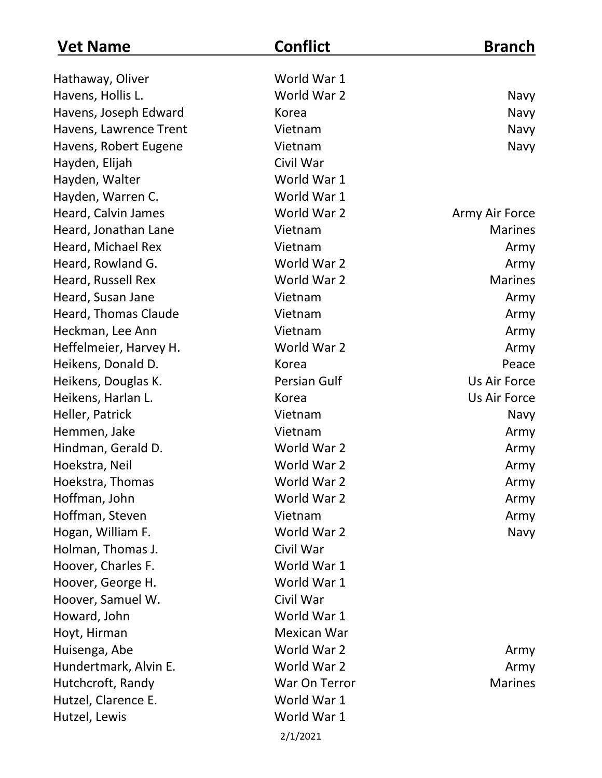| <b>Vet Name</b>        | <b>Conflict</b>     | <b>Branch</b>  |
|------------------------|---------------------|----------------|
| Hathaway, Oliver       | World War 1         |                |
| Havens, Hollis L.      | World War 2         | Navy           |
| Havens, Joseph Edward  | Korea               | Navy           |
| Havens, Lawrence Trent | Vietnam             | Navy           |
| Havens, Robert Eugene  | Vietnam             | Navy           |
| Hayden, Elijah         | Civil War           |                |
| Hayden, Walter         | World War 1         |                |
| Hayden, Warren C.      | World War 1         |                |
| Heard, Calvin James    | World War 2         | Army Air Force |
| Heard, Jonathan Lane   | Vietnam             | <b>Marines</b> |
| Heard, Michael Rex     | Vietnam             | Army           |
| Heard, Rowland G.      | World War 2         | Army           |
| Heard, Russell Rex     | World War 2         | <b>Marines</b> |
| Heard, Susan Jane      | Vietnam             | Army           |
| Heard, Thomas Claude   | Vietnam             | Army           |
| Heckman, Lee Ann       | Vietnam             | Army           |
| Heffelmeier, Harvey H. | World War 2         | Army           |
| Heikens, Donald D.     | Korea               | Peace          |
| Heikens, Douglas K.    | <b>Persian Gulf</b> | Us Air Force   |
| Heikens, Harlan L.     | Korea               | Us Air Force   |
| Heller, Patrick        | Vietnam             | Navy           |
| Hemmen, Jake           | Vietnam             | Army           |
| Hindman, Gerald D.     | World War 2         | Army           |
| Hoekstra, Neil         | World War 2         | Army           |
| Hoekstra, Thomas       | World War 2         | Army           |
| Hoffman, John          | World War 2         | Army           |
| Hoffman, Steven        | Vietnam             | Army           |
| Hogan, William F.      | World War 2         | Navy           |
| Holman, Thomas J.      | Civil War           |                |
| Hoover, Charles F.     | World War 1         |                |
| Hoover, George H.      | World War 1         |                |
| Hoover, Samuel W.      | Civil War           |                |
| Howard, John           | World War 1         |                |
| Hoyt, Hirman           | Mexican War         |                |
| Huisenga, Abe          | World War 2         | Army           |
| Hundertmark, Alvin E.  | World War 2         | Army           |
| Hutchcroft, Randy      | War On Terror       | <b>Marines</b> |
| Hutzel, Clarence E.    | World War 1         |                |
| Hutzel, Lewis          | World War 1         |                |
|                        | 2/1/2021            |                |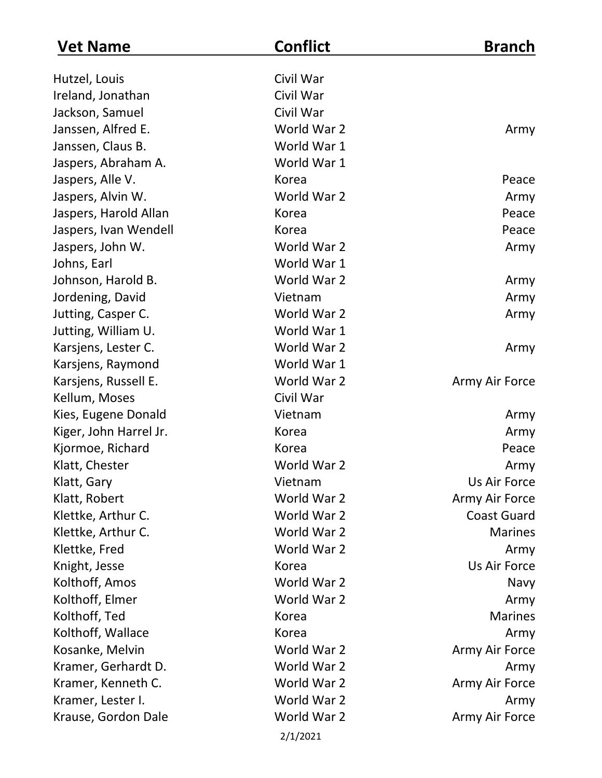| <b>Vet Name</b>        | <b>Conflict</b> | <b>Branch</b>      |
|------------------------|-----------------|--------------------|
| Hutzel, Louis          | Civil War       |                    |
| Ireland, Jonathan      | Civil War       |                    |
| Jackson, Samuel        | Civil War       |                    |
| Janssen, Alfred E.     | World War 2     | Army               |
| Janssen, Claus B.      | World War 1     |                    |
| Jaspers, Abraham A.    | World War 1     |                    |
| Jaspers, Alle V.       | Korea           | Peace              |
| Jaspers, Alvin W.      | World War 2     | Army               |
| Jaspers, Harold Allan  | Korea           | Peace              |
| Jaspers, Ivan Wendell  | Korea           | Peace              |
| Jaspers, John W.       | World War 2     | Army               |
| Johns, Earl            | World War 1     |                    |
| Johnson, Harold B.     | World War 2     | Army               |
| Jordening, David       | Vietnam         | Army               |
| Jutting, Casper C.     | World War 2     | Army               |
| Jutting, William U.    | World War 1     |                    |
| Karsjens, Lester C.    | World War 2     | Army               |
| Karsjens, Raymond      | World War 1     |                    |
| Karsjens, Russell E.   | World War 2     | Army Air Force     |
| Kellum, Moses          | Civil War       |                    |
| Kies, Eugene Donald    | Vietnam         | Army               |
| Kiger, John Harrel Jr. | Korea           | Army               |
| Kjormoe, Richard       | Korea           | Peace              |
| Klatt, Chester         | World War 2     | Army               |
| Klatt, Gary            | Vietnam         | Us Air Force       |
| Klatt, Robert          | World War 2     | Army Air Force     |
| Klettke, Arthur C.     | World War 2     | <b>Coast Guard</b> |
| Klettke, Arthur C.     | World War 2     | <b>Marines</b>     |
| Klettke, Fred          | World War 2     | Army               |
| Knight, Jesse          | Korea           | Us Air Force       |
| Kolthoff, Amos         | World War 2     | Navy               |
| Kolthoff, Elmer        | World War 2     | Army               |
| Kolthoff, Ted          | Korea           | <b>Marines</b>     |
| Kolthoff, Wallace      | Korea           | Army               |
| Kosanke, Melvin        | World War 2     | Army Air Force     |
| Kramer, Gerhardt D.    | World War 2     | Army               |
| Kramer, Kenneth C.     | World War 2     | Army Air Force     |
| Kramer, Lester I.      | World War 2     | Army               |
| Krause, Gordon Dale    | World War 2     | Army Air Force     |
|                        | 2/1/2021        |                    |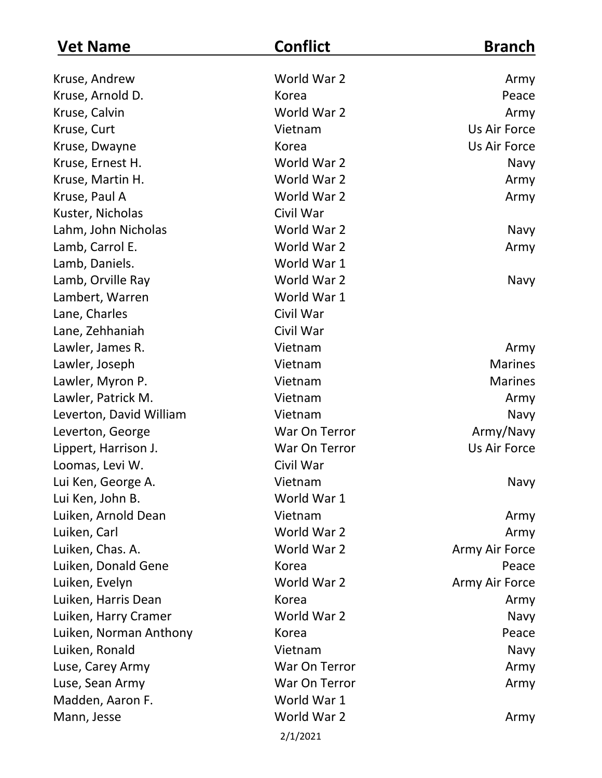| <b>Vet Name</b>         | <b>Conflict</b> | <b>Branch</b>  |
|-------------------------|-----------------|----------------|
| Kruse, Andrew           | World War 2     | Army           |
| Kruse, Arnold D.        | Korea           | Peace          |
| Kruse, Calvin           | World War 2     | Army           |
| Kruse, Curt             | Vietnam         | Us Air Force   |
| Kruse, Dwayne           | Korea           | Us Air Force   |
| Kruse, Ernest H.        | World War 2     | Navy           |
| Kruse, Martin H.        | World War 2     | Army           |
| Kruse, Paul A           | World War 2     | Army           |
| Kuster, Nicholas        | Civil War       |                |
| Lahm, John Nicholas     | World War 2     | Navy           |
| Lamb, Carrol E.         | World War 2     | Army           |
| Lamb, Daniels.          | World War 1     |                |
| Lamb, Orville Ray       | World War 2     | Navy           |
| Lambert, Warren         | World War 1     |                |
| Lane, Charles           | Civil War       |                |
| Lane, Zehhaniah         | Civil War       |                |
| Lawler, James R.        | Vietnam         | Army           |
| Lawler, Joseph          | Vietnam         | <b>Marines</b> |
| Lawler, Myron P.        | Vietnam         | <b>Marines</b> |
| Lawler, Patrick M.      | Vietnam         | Army           |
| Leverton, David William | Vietnam         | Navy           |
| Leverton, George        | War On Terror   | Army/Navy      |
| Lippert, Harrison J.    | War On Terror   | Us Air Force   |
| Loomas, Levi W.         | Civil War       |                |
| Lui Ken, George A.      | Vietnam         | Navy           |
| Lui Ken, John B.        | World War 1     |                |
| Luiken, Arnold Dean     | Vietnam         | Army           |
| Luiken, Carl            | World War 2     | Army           |
| Luiken, Chas. A.        | World War 2     | Army Air Force |
| Luiken, Donald Gene     | Korea           | Peace          |
| Luiken, Evelyn          | World War 2     | Army Air Force |
| Luiken, Harris Dean     | Korea           | Army           |
| Luiken, Harry Cramer    | World War 2     | Navy           |
| Luiken, Norman Anthony  | Korea           | Peace          |
| Luiken, Ronald          | Vietnam         | Navy           |
| Luse, Carey Army        | War On Terror   | Army           |
| Luse, Sean Army         | War On Terror   | Army           |
| Madden, Aaron F.        | World War 1     |                |
| Mann, Jesse             | World War 2     | Army           |
|                         | 2/1/2021        |                |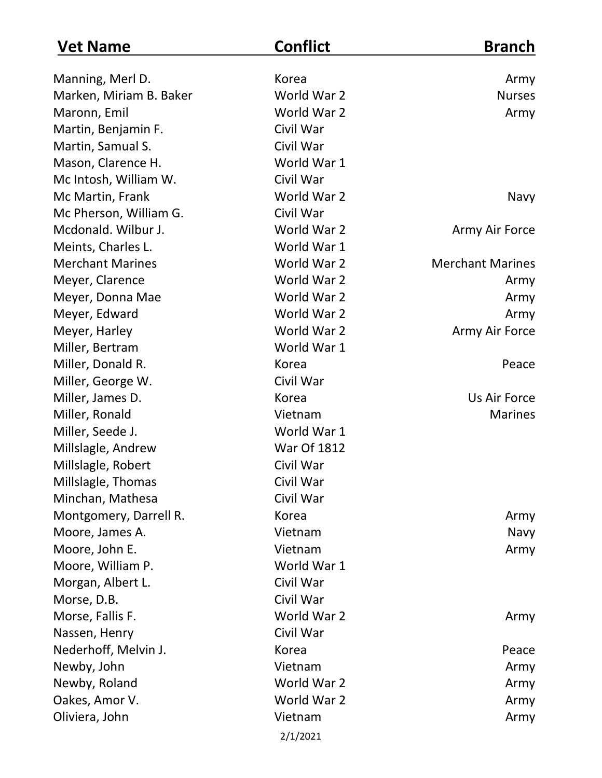| <b>Vet Name</b>         | <b>Conflict</b>    | <b>Branch</b>           |
|-------------------------|--------------------|-------------------------|
| Manning, Merl D.        | Korea              | Army                    |
| Marken, Miriam B. Baker | World War 2        | <b>Nurses</b>           |
| Maronn, Emil            | World War 2        | Army                    |
| Martin, Benjamin F.     | Civil War          |                         |
| Martin, Samual S.       | Civil War          |                         |
| Mason, Clarence H.      | World War 1        |                         |
| Mc Intosh, William W.   | Civil War          |                         |
| Mc Martin, Frank        | World War 2        | Navy                    |
| Mc Pherson, William G.  | Civil War          |                         |
| Mcdonald. Wilbur J.     | World War 2        | Army Air Force          |
| Meints, Charles L.      | World War 1        |                         |
| <b>Merchant Marines</b> | World War 2        | <b>Merchant Marines</b> |
| Meyer, Clarence         | World War 2        | Army                    |
| Meyer, Donna Mae        | World War 2        | Army                    |
| Meyer, Edward           | World War 2        | Army                    |
| Meyer, Harley           | World War 2        | Army Air Force          |
| Miller, Bertram         | World War 1        |                         |
| Miller, Donald R.       | Korea              | Peace                   |
| Miller, George W.       | Civil War          |                         |
| Miller, James D.        | Korea              | Us Air Force            |
| Miller, Ronald          | Vietnam            | <b>Marines</b>          |
| Miller, Seede J.        | World War 1        |                         |
| Millslagle, Andrew      | <b>War Of 1812</b> |                         |
| Millslagle, Robert      | Civil War          |                         |
| Millslagle, Thomas      | Civil War          |                         |
| Minchan, Mathesa        | Civil War          |                         |
| Montgomery, Darrell R.  | Korea              | Army                    |
| Moore, James A.         | Vietnam            | Navy                    |
| Moore, John E.          | Vietnam            | Army                    |
| Moore, William P.       | World War 1        |                         |
| Morgan, Albert L.       | Civil War          |                         |
| Morse, D.B.             | Civil War          |                         |
| Morse, Fallis F.        | World War 2        | Army                    |
| Nassen, Henry           | Civil War          |                         |
| Nederhoff, Melvin J.    | Korea              | Peace                   |
| Newby, John             | Vietnam            | Army                    |
| Newby, Roland           | World War 2        | Army                    |
| Oakes, Amor V.          | World War 2        | Army                    |
| Oliviera, John          | Vietnam            | Army                    |
|                         | 2/1/2021           |                         |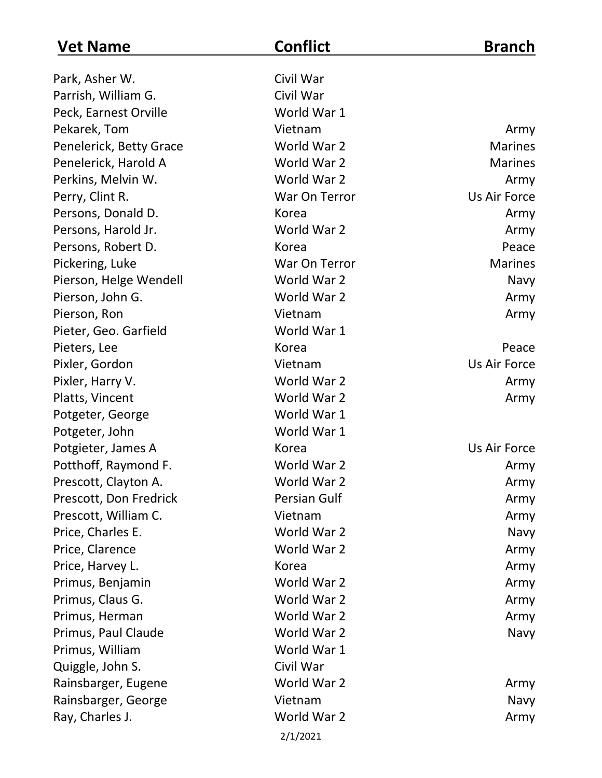| <b>Vet Name</b>         | <b>Conflict</b>     | <b>Branch</b>  |
|-------------------------|---------------------|----------------|
| Park, Asher W.          | Civil War           |                |
| Parrish, William G.     | Civil War           |                |
| Peck, Earnest Orville   | World War 1         |                |
| Pekarek, Tom            | Vietnam             | Army           |
| Penelerick, Betty Grace | World War 2         | <b>Marines</b> |
| Penelerick, Harold A    | World War 2         | <b>Marines</b> |
| Perkins, Melvin W.      | World War 2         | Army           |
| Perry, Clint R.         | War On Terror       | Us Air Force   |
| Persons, Donald D.      | Korea               | Army           |
| Persons, Harold Jr.     | World War 2         | Army           |
| Persons, Robert D.      | Korea               | Peace          |
| Pickering, Luke         | War On Terror       | <b>Marines</b> |
| Pierson, Helge Wendell  | World War 2         | Navy           |
| Pierson, John G.        | World War 2         | Army           |
| Pierson, Ron            | Vietnam             | Army           |
| Pieter, Geo. Garfield   | World War 1         |                |
| Pieters, Lee            | Korea               | Peace          |
| Pixler, Gordon          | Vietnam             | Us Air Force   |
| Pixler, Harry V.        | World War 2         | Army           |
| Platts, Vincent         | World War 2         | Army           |
| Potgeter, George        | World War 1         |                |
| Potgeter, John          | World War 1         |                |
| Potgieter, James A      | Korea               | Us Air Force   |
| Potthoff, Raymond F.    | World War 2         | Army           |
| Prescott, Clayton A.    | World War 2         | Army           |
| Prescott, Don Fredrick  | <b>Persian Gulf</b> | Army           |
| Prescott, William C.    | Vietnam             | Army           |
| Price, Charles E.       | World War 2         | Navy           |
| Price, Clarence         | World War 2         | Army           |
| Price, Harvey L.        | Korea               | Army           |
| Primus, Benjamin        | World War 2         | Army           |
| Primus, Claus G.        | World War 2         | Army           |
| Primus, Herman          | World War 2         | Army           |
| Primus, Paul Claude     | World War 2         | Navy           |
| Primus, William         | World War 1         |                |
| Quiggle, John S.        | Civil War           |                |
| Rainsbarger, Eugene     | World War 2         | Army           |
| Rainsbarger, George     | Vietnam             | Navy           |
| Ray, Charles J.         | World War 2         | Army           |
|                         | 2/1/2021            |                |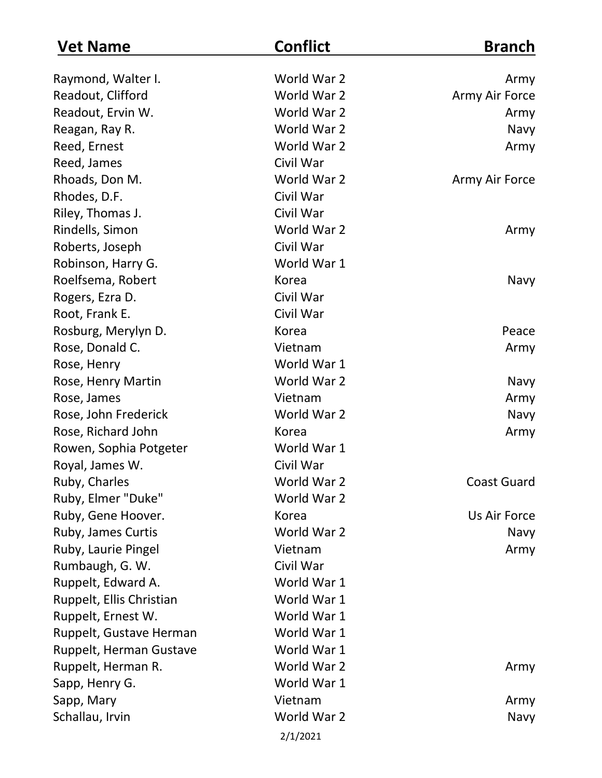| <b>Vet Name</b>          | <b>Conflict</b> | <b>Branch</b>      |
|--------------------------|-----------------|--------------------|
| Raymond, Walter I.       | World War 2     | Army               |
| Readout, Clifford        | World War 2     | Army Air Force     |
| Readout, Ervin W.        | World War 2     | Army               |
| Reagan, Ray R.           | World War 2     | Navy               |
| Reed, Ernest             | World War 2     | Army               |
| Reed, James              | Civil War       |                    |
| Rhoads, Don M.           | World War 2     | Army Air Force     |
| Rhodes, D.F.             | Civil War       |                    |
| Riley, Thomas J.         | Civil War       |                    |
| Rindells, Simon          | World War 2     | Army               |
| Roberts, Joseph          | Civil War       |                    |
| Robinson, Harry G.       | World War 1     |                    |
| Roelfsema, Robert        | Korea           | Navy               |
| Rogers, Ezra D.          | Civil War       |                    |
| Root, Frank E.           | Civil War       |                    |
| Rosburg, Merylyn D.      | Korea           | Peace              |
| Rose, Donald C.          | Vietnam         | Army               |
| Rose, Henry              | World War 1     |                    |
| Rose, Henry Martin       | World War 2     | Navy               |
| Rose, James              | Vietnam         | Army               |
| Rose, John Frederick     | World War 2     | Navy               |
| Rose, Richard John       | Korea           | Army               |
| Rowen, Sophia Potgeter   | World War 1     |                    |
| Royal, James W.          | Civil War       |                    |
| Ruby, Charles            | World War 2     | <b>Coast Guard</b> |
| Ruby, Elmer "Duke"       | World War 2     |                    |
| Ruby, Gene Hoover.       | Korea           | Us Air Force       |
| Ruby, James Curtis       | World War 2     | Navy               |
| Ruby, Laurie Pingel      | Vietnam         | Army               |
| Rumbaugh, G. W.          | Civil War       |                    |
| Ruppelt, Edward A.       | World War 1     |                    |
| Ruppelt, Ellis Christian | World War 1     |                    |
| Ruppelt, Ernest W.       | World War 1     |                    |
| Ruppelt, Gustave Herman  | World War 1     |                    |
| Ruppelt, Herman Gustave  | World War 1     |                    |
| Ruppelt, Herman R.       | World War 2     | Army               |
| Sapp, Henry G.           | World War 1     |                    |
| Sapp, Mary               | Vietnam         | Army               |
| Schallau, Irvin          | World War 2     | Navy               |
|                          | 2/1/2021        |                    |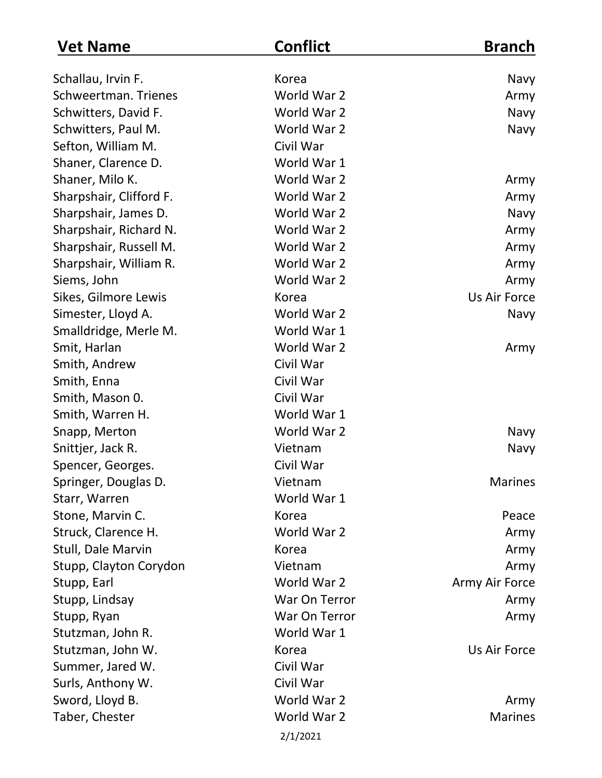| <b>Vet Name</b>         | <b>Conflict</b> | <b>Branch</b>  |
|-------------------------|-----------------|----------------|
| Schallau, Irvin F.      | Korea           | Navy           |
| Schweertman. Trienes    | World War 2     | Army           |
| Schwitters, David F.    | World War 2     | Navy           |
| Schwitters, Paul M.     | World War 2     | Navy           |
| Sefton, William M.      | Civil War       |                |
| Shaner, Clarence D.     | World War 1     |                |
| Shaner, Milo K.         | World War 2     | Army           |
| Sharpshair, Clifford F. | World War 2     | Army           |
| Sharpshair, James D.    | World War 2     | Navy           |
| Sharpshair, Richard N.  | World War 2     | Army           |
| Sharpshair, Russell M.  | World War 2     | Army           |
| Sharpshair, William R.  | World War 2     | Army           |
| Siems, John             | World War 2     | Army           |
| Sikes, Gilmore Lewis    | Korea           | Us Air Force   |
| Simester, Lloyd A.      | World War 2     | Navy           |
| Smalldridge, Merle M.   | World War 1     |                |
| Smit, Harlan            | World War 2     | Army           |
| Smith, Andrew           | Civil War       |                |
| Smith, Enna             | Civil War       |                |
| Smith, Mason 0.         | Civil War       |                |
| Smith, Warren H.        | World War 1     |                |
| Snapp, Merton           | World War 2     | Navy           |
| Snittjer, Jack R.       | Vietnam         | Navy           |
| Spencer, Georges.       | Civil War       |                |
| Springer, Douglas D.    | Vietnam         | <b>Marines</b> |
| Starr, Warren           | World War 1     |                |
| Stone, Marvin C.        | Korea           | Peace          |
| Struck, Clarence H.     | World War 2     | Army           |
| Stull, Dale Marvin      | Korea           | Army           |
| Stupp, Clayton Corydon  | Vietnam         | Army           |
| Stupp, Earl             | World War 2     | Army Air Force |
| Stupp, Lindsay          | War On Terror   | Army           |
| Stupp, Ryan             | War On Terror   | Army           |
| Stutzman, John R.       | World War 1     |                |
| Stutzman, John W.       | Korea           | Us Air Force   |
| Summer, Jared W.        | Civil War       |                |
| Surls, Anthony W.       | Civil War       |                |
| Sword, Lloyd B.         | World War 2     | Army           |
| Taber, Chester          | World War 2     | <b>Marines</b> |
|                         | 2/1/2021        |                |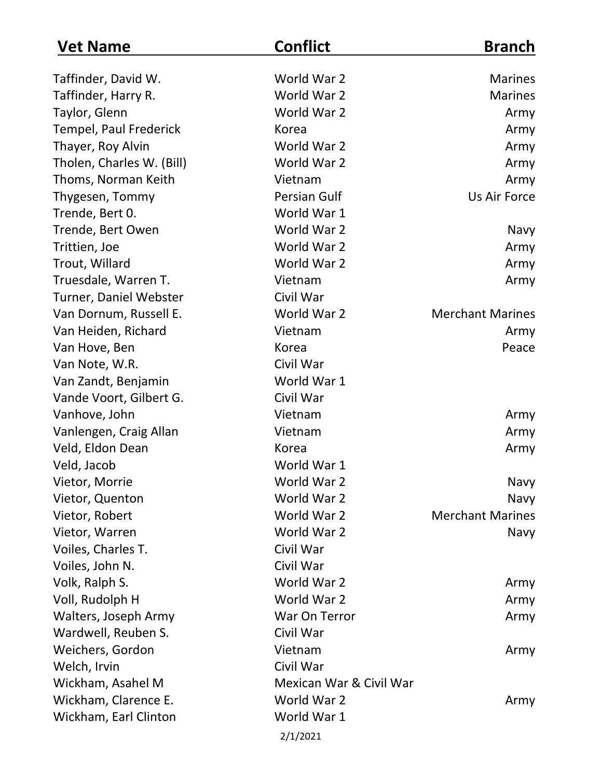| <b>Vet Name</b>           | <b>Conflict</b>         | <b>Branch</b>           |
|---------------------------|-------------------------|-------------------------|
| Taffinder, David W.       | World War 2             | <b>Marines</b>          |
| Taffinder, Harry R.       | World War 2             | <b>Marines</b>          |
| Taylor, Glenn             | World War 2             | Army                    |
| Tempel, Paul Frederick    | Korea                   | Army                    |
| Thayer, Roy Alvin         | World War 2             | Army                    |
| Tholen, Charles W. (Bill) | World War 2             | Army                    |
| Thoms, Norman Keith       | Vietnam                 | Army                    |
| Thygesen, Tommy           | <b>Persian Gulf</b>     | Us Air Force            |
| Trende, Bert 0.           | World War 1             |                         |
| Trende, Bert Owen         | World War 2             | Navy                    |
| Trittien, Joe             | World War 2             | Army                    |
| Trout, Willard            | World War 2             | Army                    |
| Truesdale, Warren T.      | Vietnam                 | Army                    |
| Turner, Daniel Webster    | Civil War               |                         |
| Van Dornum, Russell E.    | World War 2             | <b>Merchant Marines</b> |
| Van Heiden, Richard       | Vietnam                 | Army                    |
| Van Hove, Ben             | Korea                   | Peace                   |
| Van Note, W.R.            | Civil War               |                         |
| Van Zandt, Benjamin       | World War 1             |                         |
| Vande Voort, Gilbert G.   | Civil War               |                         |
| Vanhove, John             | Vietnam                 | Army                    |
| Vanlengen, Craig Allan    | Vietnam                 | Army                    |
| Veld, Eldon Dean          | Korea                   | Army                    |
| Veld, Jacob               | World War 1             |                         |
| Vietor, Morrie            | World War 2             | Navy                    |
| Vietor, Quenton           | World War 2             | Navy                    |
| Vietor, Robert            | World War 2             | <b>Merchant Marines</b> |
| Vietor, Warren            | World War 2             | Navy                    |
| Voiles, Charles T.        | Civil War               |                         |
| Voiles, John N.           | Civil War               |                         |
| Volk, Ralph S.            | World War 2             | Army                    |
| Voll, Rudolph H           | World War 2             | Army                    |
| Walters, Joseph Army      | War On Terror           | Army                    |
| Wardwell, Reuben S.       | Civil War               |                         |
| Weichers, Gordon          | Vietnam                 | Army                    |
| Welch, Irvin              | Civil War               |                         |
| Wickham, Asahel M         | Mexican War & Civil War |                         |
| Wickham, Clarence E.      | World War 2             | Army                    |
| Wickham, Earl Clinton     | World War 1             |                         |
|                           | 2/1/2021                |                         |